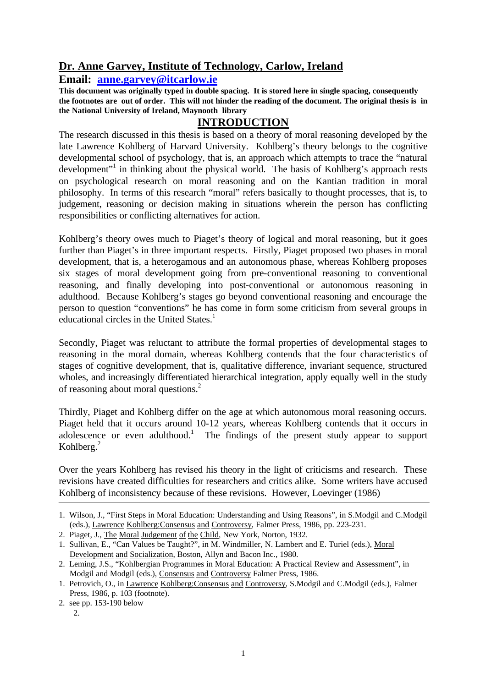# **Dr. Anne Garvey, Institute of Technology, Carlow, Ireland**

**Email: anne.garvey@itcarlow.ie** 

**This document was originally typed in double spacing. It is stored here in single spacing, consequently the footnotes are out of order. This will not hinder the reading of the document. The original thesis is in the National University of Ireland, Maynooth library**

# **INTRODUCTION**

The research discussed in this thesis is based on a theory of moral reasoning developed by the late Lawrence Kohlberg of Harvard University. Kohlberg's theory belongs to the cognitive developmental school of psychology, that is, an approach which attempts to trace the "natural development"<sup>1</sup> in thinking about the physical world. The basis of Kohlberg's approach rests on psychological research on moral reasoning and on the Kantian tradition in moral philosophy. In terms of this research "moral" refers basically to thought processes, that is, to judgement, reasoning or decision making in situations wherein the person has conflicting responsibilities or conflicting alternatives for action.

Kohlberg's theory owes much to Piaget's theory of logical and moral reasoning, but it goes further than Piaget's in three important respects. Firstly, Piaget proposed two phases in moral development, that is, a heterogamous and an autonomous phase, whereas Kohlberg proposes six stages of moral development going from pre-conventional reasoning to conventional reasoning, and finally developing into post-conventional or autonomous reasoning in adulthood. Because Kohlberg's stages go beyond conventional reasoning and encourage the person to question "conventions" he has come in form some criticism from several groups in educational circles in the United States.<sup>1</sup>

Secondly, Piaget was reluctant to attribute the formal properties of developmental stages to reasoning in the moral domain, whereas Kohlberg contends that the four characteristics of stages of cognitive development, that is, qualitative difference, invariant sequence, structured wholes, and increasingly differentiated hierarchical integration, apply equally well in the study of reasoning about moral questions.<sup>2</sup>

Thirdly, Piaget and Kohlberg differ on the age at which autonomous moral reasoning occurs. Piaget held that it occurs around 10-12 years, whereas Kohlberg contends that it occurs in adolescence or even adulthood.<sup>1</sup> The findings of the present study appear to support Kohlberg. $2$ 

Over the years Kohlberg has revised his theory in the light of criticisms and research. These revisions have created difficulties for researchers and critics alike. Some writers have accused Kohlberg of inconsistency because of these revisions. However, Loevinger (1986)

<sup>1.</sup> Wilson, J., "First Steps in Moral Education: Understanding and Using Reasons", in S.Modgil and C.Modgil (eds.), Lawrence Kohlberg:Consensus and Controversy, Falmer Press, 1986, pp. 223-231.

<sup>2.</sup> Piaget, J., The Moral Judgement of the Child, New York, Norton, 1932.

<sup>1.</sup> Sullivan, E., "Can Values be Taught?", in M. Windmiller, N. Lambert and E. Turiel (eds.), Moral Development and Socialization, Boston, Allyn and Bacon Inc., 1980.

<sup>2.</sup> Leming, J.S., "Kohlbergian Programmes in Moral Education: A Practical Review and Assessment", in Modgil and Modgil (eds.), Consensus and Controversy Falmer Press, 1986.

<sup>1.</sup> Petrovich, O., in Lawrence Kohlberg:Consensus and Controversy, S.Modgil and C.Modgil (eds.), Falmer Press, 1986, p. 103 (footnote).

<sup>2.</sup> see pp. 153-190 below

 $\mathcal{D}$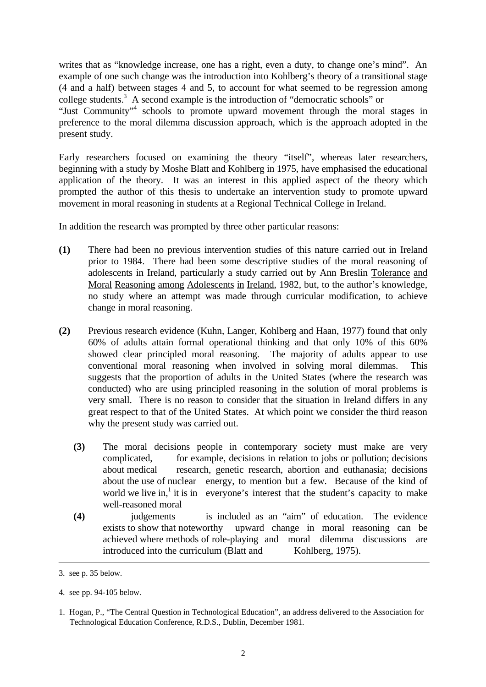writes that as "knowledge increase, one has a right, even a duty, to change one's mind". An example of one such change was the introduction into Kohlberg's theory of a transitional stage (4 and a half) between stages 4 and 5, to account for what seemed to be regression among college students.<sup>3</sup> A second example is the introduction of "democratic schools" or "Just Community"<sup>4</sup> schools to promote upward movement through the moral stages in preference to the moral dilemma discussion approach, which is the approach adopted in the present study.

Early researchers focused on examining the theory "itself", whereas later researchers, beginning with a study by Moshe Blatt and Kohlberg in 1975, have emphasised the educational application of the theory. It was an interest in this applied aspect of the theory which prompted the author of this thesis to undertake an intervention study to promote upward movement in moral reasoning in students at a Regional Technical College in Ireland.

In addition the research was prompted by three other particular reasons:

- **(1)** There had been no previous intervention studies of this nature carried out in Ireland prior to 1984. There had been some descriptive studies of the moral reasoning of adolescents in Ireland, particularly a study carried out by Ann Breslin Tolerance and Moral Reasoning among Adolescents in Ireland, 1982, but, to the author's knowledge, no study where an attempt was made through curricular modification, to achieve change in moral reasoning.
- **(2)** Previous research evidence (Kuhn, Langer, Kohlberg and Haan, 1977) found that only 60% of adults attain formal operational thinking and that only 10% of this 60% showed clear principled moral reasoning. The majority of adults appear to use conventional moral reasoning when involved in solving moral dilemmas. This suggests that the proportion of adults in the United States (where the research was conducted) who are using principled reasoning in the solution of moral problems is very small. There is no reason to consider that the situation in Ireland differs in any great respect to that of the United States. At which point we consider the third reason why the present study was carried out.
	- **(3)** The moral decisions people in contemporary society must make are very complicated, for example, decisions in relation to jobs or pollution; decisions about medical research, genetic research, abortion and euthanasia; decisions about the use of nuclear energy, to mention but a few. Because of the kind of world we live in,<sup>1</sup> it is in everyone's interest that the student's capacity to make well-reasoned moral
	- **(4)** judgements is included as an "aim" of education. The evidence exists to show that noteworthy upward change in moral reasoning can be achieved where methods of role-playing and moral dilemma discussions are introduced into the curriculum (Blatt and Kohlberg, 1975).

<sup>3.</sup> see p. 35 below.

<sup>4.</sup> see pp. 94-105 below.

<sup>1.</sup> Hogan, P., "The Central Question in Technological Education", an address delivered to the Association for Technological Education Conference, R.D.S., Dublin, December 1981.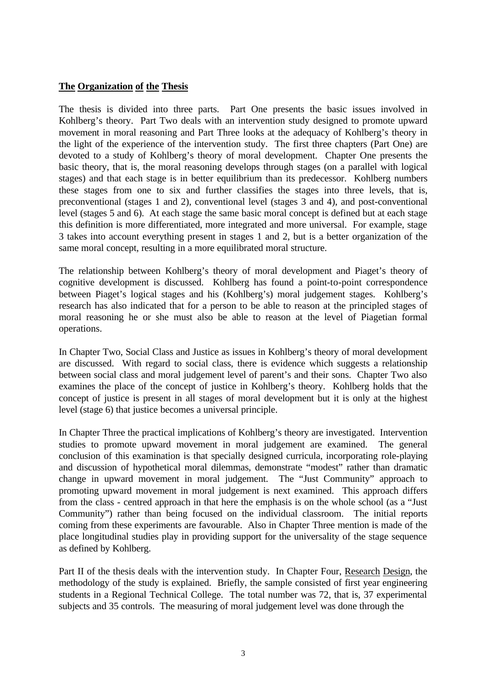#### **The Organization of the Thesis**

The thesis is divided into three parts. Part One presents the basic issues involved in Kohlberg's theory. Part Two deals with an intervention study designed to promote upward movement in moral reasoning and Part Three looks at the adequacy of Kohlberg's theory in the light of the experience of the intervention study. The first three chapters (Part One) are devoted to a study of Kohlberg's theory of moral development. Chapter One presents the basic theory, that is, the moral reasoning develops through stages (on a parallel with logical stages) and that each stage is in better equilibrium than its predecessor. Kohlberg numbers these stages from one to six and further classifies the stages into three levels, that is, preconventional (stages 1 and 2), conventional level (stages 3 and 4), and post-conventional level (stages 5 and 6). At each stage the same basic moral concept is defined but at each stage this definition is more differentiated, more integrated and more universal. For example, stage 3 takes into account everything present in stages 1 and 2, but is a better organization of the same moral concept, resulting in a more equilibrated moral structure.

The relationship between Kohlberg's theory of moral development and Piaget's theory of cognitive development is discussed. Kohlberg has found a point-to-point correspondence between Piaget's logical stages and his (Kohlberg's) moral judgement stages. Kohlberg's research has also indicated that for a person to be able to reason at the principled stages of moral reasoning he or she must also be able to reason at the level of Piagetian formal operations.

In Chapter Two, Social Class and Justice as issues in Kohlberg's theory of moral development are discussed. With regard to social class, there is evidence which suggests a relationship between social class and moral judgement level of parent's and their sons. Chapter Two also examines the place of the concept of justice in Kohlberg's theory. Kohlberg holds that the concept of justice is present in all stages of moral development but it is only at the highest level (stage 6) that justice becomes a universal principle.

In Chapter Three the practical implications of Kohlberg's theory are investigated. Intervention studies to promote upward movement in moral judgement are examined. The general conclusion of this examination is that specially designed curricula, incorporating role-playing and discussion of hypothetical moral dilemmas, demonstrate "modest" rather than dramatic change in upward movement in moral judgement. The "Just Community" approach to promoting upward movement in moral judgement is next examined. This approach differs from the class - centred approach in that here the emphasis is on the whole school (as a "Just Community") rather than being focused on the individual classroom. The initial reports coming from these experiments are favourable. Also in Chapter Three mention is made of the place longitudinal studies play in providing support for the universality of the stage sequence as defined by Kohlberg.

Part II of the thesis deals with the intervention study. In Chapter Four, Research Design, the methodology of the study is explained. Briefly, the sample consisted of first year engineering students in a Regional Technical College. The total number was 72, that is, 37 experimental subjects and 35 controls. The measuring of moral judgement level was done through the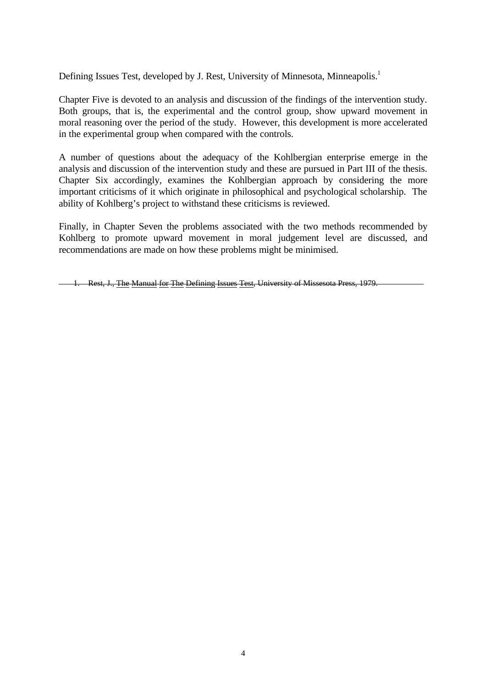Defining Issues Test, developed by J. Rest, University of Minnesota, Minneapolis.<sup>1</sup>

Chapter Five is devoted to an analysis and discussion of the findings of the intervention study. Both groups, that is, the experimental and the control group, show upward movement in moral reasoning over the period of the study. However, this development is more accelerated in the experimental group when compared with the controls.

A number of questions about the adequacy of the Kohlbergian enterprise emerge in the analysis and discussion of the intervention study and these are pursued in Part III of the thesis. Chapter Six accordingly, examines the Kohlbergian approach by considering the more important criticisms of it which originate in philosophical and psychological scholarship. The ability of Kohlberg's project to withstand these criticisms is reviewed.

Finally, in Chapter Seven the problems associated with the two methods recommended by Kohlberg to promote upward movement in moral judgement level are discussed, and recommendations are made on how these problems might be minimised.

1. Rest, J., The Manual for The Defining Issues Test, University of Missesota Press, 1979.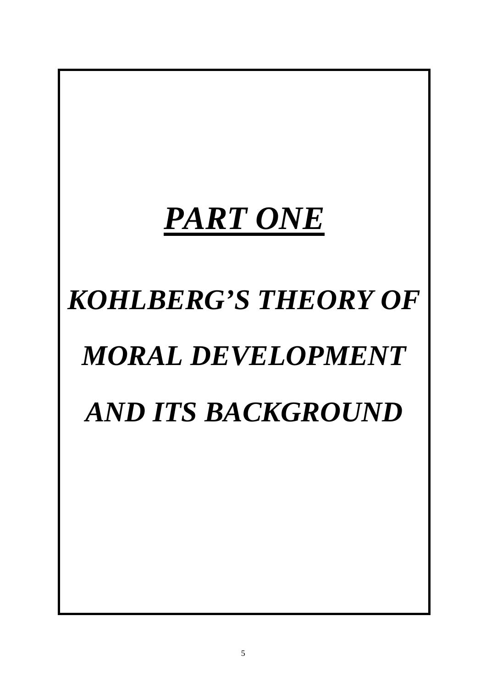# *PART ONE*

# *KOHLBERG'S THEORY OF MORAL DEVELOPMENT AND ITS BACKGROUND*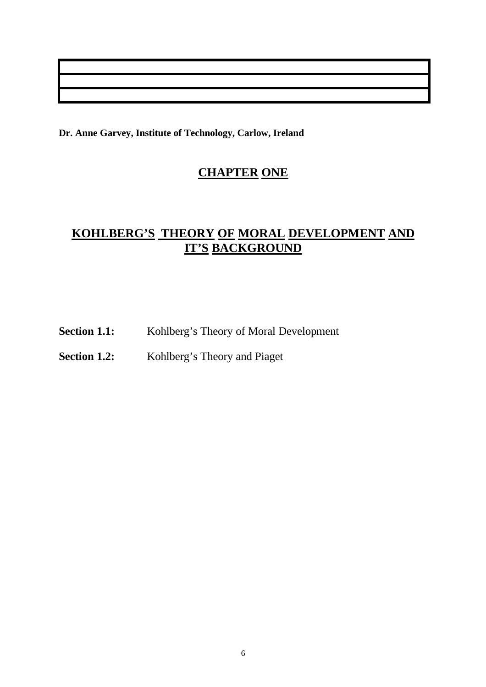**Dr. Anne Garvey, Institute of Technology, Carlow, Ireland**

# **CHAPTER ONE**

# **KOHLBERG'S THEORY OF MORAL DEVELOPMENT AND IT'S BACKGROUND**

Section 1.1: Kohlberg's Theory of Moral Development

**Section 1.2:** Kohlberg's Theory and Piaget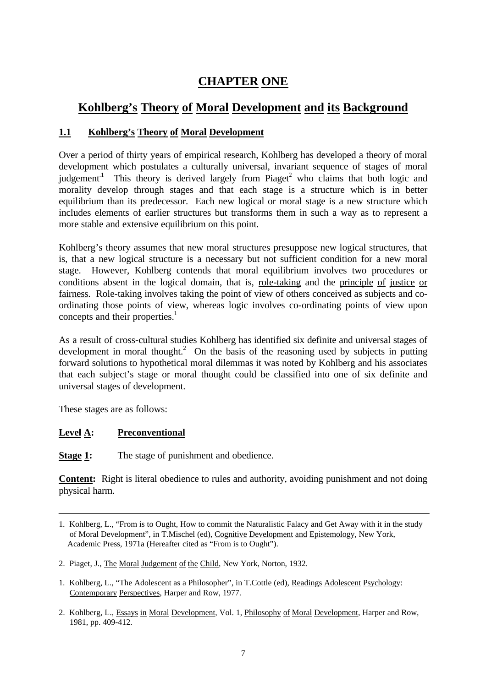# **CHAPTER ONE**

# **Kohlberg's Theory of Moral Development and its Background**

# **1.1 Kohlberg's Theory of Moral Development**

Over a period of thirty years of empirical research, Kohlberg has developed a theory of moral development which postulates a culturally universal, invariant sequence of stages of moral judgement<sup>1</sup> This theory is derived largely from Piaget<sup>2</sup> who claims that both logic and morality develop through stages and that each stage is a structure which is in better equilibrium than its predecessor. Each new logical or moral stage is a new structure which includes elements of earlier structures but transforms them in such a way as to represent a more stable and extensive equilibrium on this point.

Kohlberg's theory assumes that new moral structures presuppose new logical structures, that is, that a new logical structure is a necessary but not sufficient condition for a new moral stage. However, Kohlberg contends that moral equilibrium involves two procedures or conditions absent in the logical domain, that is, role-taking and the principle of justice or fairness. Role-taking involves taking the point of view of others conceived as subjects and coordinating those points of view, whereas logic involves co-ordinating points of view upon concepts and their properties. $<sup>1</sup>$ </sup>

As a result of cross-cultural studies Kohlberg has identified six definite and universal stages of development in moral thought.<sup>2</sup> On the basis of the reasoning used by subjects in putting forward solutions to hypothetical moral dilemmas it was noted by Kohlberg and his associates that each subject's stage or moral thought could be classified into one of six definite and universal stages of development.

These stages are as follows:

## **Level A: Preconventional**

**Stage 1:** The stage of punishment and obedience.

**Content:** Right is literal obedience to rules and authority, avoiding punishment and not doing physical harm.

<sup>1.</sup> Kohlberg, L., "From is to Ought, How to commit the Naturalistic Falacy and Get Away with it in the study of Moral Development", in T.Mischel (ed), Cognitive Development and Epistemology, New York, Academic Press, 1971a (Hereafter cited as "From is to Ought").

<sup>2.</sup> Piaget, J., The Moral Judgement of the Child, New York, Norton, 1932.

<sup>1.</sup> Kohlberg, L., "The Adolescent as a Philosopher", in T.Cottle (ed), Readings Adolescent Psychology: Contemporary Perspectives, Harper and Row, 1977.

<sup>2.</sup> Kohlberg, L., Essays in Moral Development, Vol. 1, Philosophy of Moral Development, Harper and Row, 1981, pp. 409-412.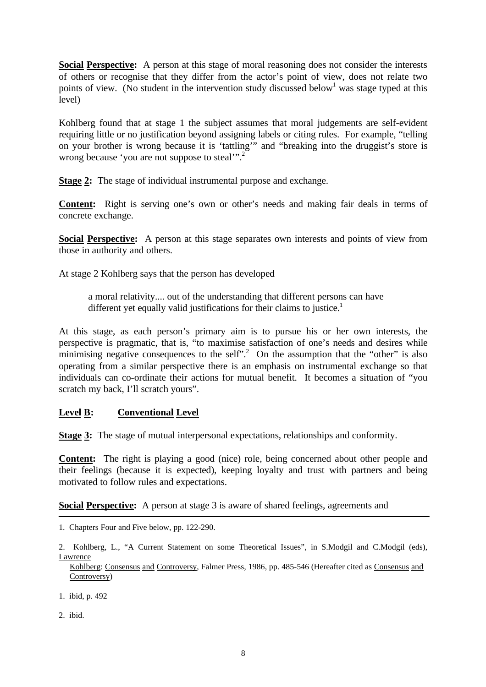**Social Perspective:** A person at this stage of moral reasoning does not consider the interests of others or recognise that they differ from the actor's point of view, does not relate two points of view. (No student in the intervention study discussed below<sup>1</sup> was stage typed at this level)

Kohlberg found that at stage 1 the subject assumes that moral judgements are self-evident requiring little or no justification beyond assigning labels or citing rules. For example, "telling on your brother is wrong because it is 'tattling'" and "breaking into the druggist's store is wrong because 'you are not suppose to steal'".<sup>2</sup>

**Stage 2:** The stage of individual instrumental purpose and exchange.

**Content:** Right is serving one's own or other's needs and making fair deals in terms of concrete exchange.

**Social Perspective:** A person at this stage separates own interests and points of view from those in authority and others.

At stage 2 Kohlberg says that the person has developed

a moral relativity.... out of the understanding that different persons can have different yet equally valid justifications for their claims to justice.<sup>1</sup>

At this stage, as each person's primary aim is to pursue his or her own interests, the perspective is pragmatic, that is, "to maximise satisfaction of one's needs and desires while minimising negative consequences to the self".<sup>2</sup> On the assumption that the "other" is also operating from a similar perspective there is an emphasis on instrumental exchange so that individuals can co-ordinate their actions for mutual benefit. It becomes a situation of "you scratch my back, I'll scratch yours".

#### **Level B: Conventional Level**

**Stage 3:** The stage of mutual interpersonal expectations, relationships and conformity.

**Content:** The right is playing a good (nice) role, being concerned about other people and their feelings (because it is expected), keeping loyalty and trust with partners and being motivated to follow rules and expectations.

**Social Perspective:** A person at stage 3 is aware of shared feelings, agreements and

- 1. ibid, p. 492
- 2. ibid.

<sup>1.</sup> Chapters Four and Five below, pp. 122-290.

<sup>2.</sup> Kohlberg, L., "A Current Statement on some Theoretical Issues", in S.Modgil and C.Modgil (eds), **Lawrence** 

Kohlberg: Consensus and Controversy, Falmer Press, 1986, pp. 485-546 (Hereafter cited as Consensus and Controversy)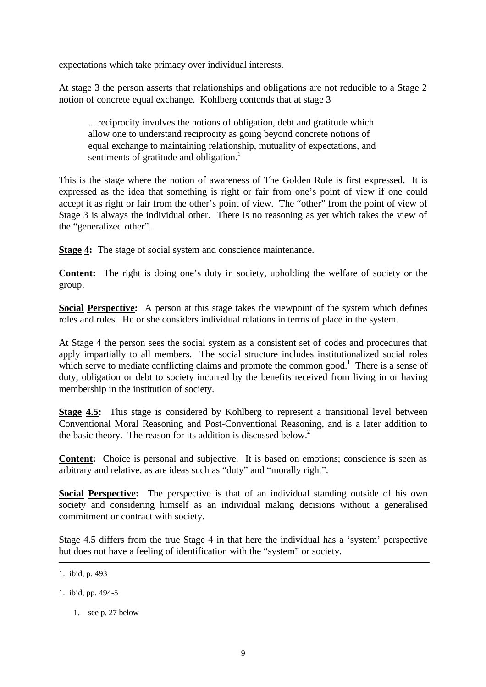expectations which take primacy over individual interests.

At stage 3 the person asserts that relationships and obligations are not reducible to a Stage 2 notion of concrete equal exchange. Kohlberg contends that at stage 3

... reciprocity involves the notions of obligation, debt and gratitude which allow one to understand reciprocity as going beyond concrete notions of equal exchange to maintaining relationship, mutuality of expectations, and sentiments of gratitude and obligation.<sup>1</sup>

This is the stage where the notion of awareness of The Golden Rule is first expressed. It is expressed as the idea that something is right or fair from one's point of view if one could accept it as right or fair from the other's point of view. The "other" from the point of view of Stage 3 is always the individual other. There is no reasoning as yet which takes the view of the "generalized other".

**Stage 4:** The stage of social system and conscience maintenance.

**Content:** The right is doing one's duty in society, upholding the welfare of society or the group.

**Social Perspective:** A person at this stage takes the viewpoint of the system which defines roles and rules. He or she considers individual relations in terms of place in the system.

At Stage 4 the person sees the social system as a consistent set of codes and procedures that apply impartially to all members. The social structure includes institutionalized social roles which serve to mediate conflicting claims and promote the common good.<sup>1</sup> There is a sense of duty, obligation or debt to society incurred by the benefits received from living in or having membership in the institution of society.

**Stage 4.5:** This stage is considered by Kohlberg to represent a transitional level between Conventional Moral Reasoning and Post-Conventional Reasoning, and is a later addition to the basic theory. The reason for its addition is discussed below.<sup>2</sup>

**Content:** Choice is personal and subjective. It is based on emotions; conscience is seen as arbitrary and relative, as are ideas such as "duty" and "morally right".

**Social Perspective:** The perspective is that of an individual standing outside of his own society and considering himself as an individual making decisions without a generalised commitment or contract with society.

Stage 4.5 differs from the true Stage 4 in that here the individual has a 'system' perspective but does not have a feeling of identification with the "system" or society.

- 1. ibid, pp. 494-5
	- 1. see p. 27 below

<sup>1.</sup> ibid, p. 493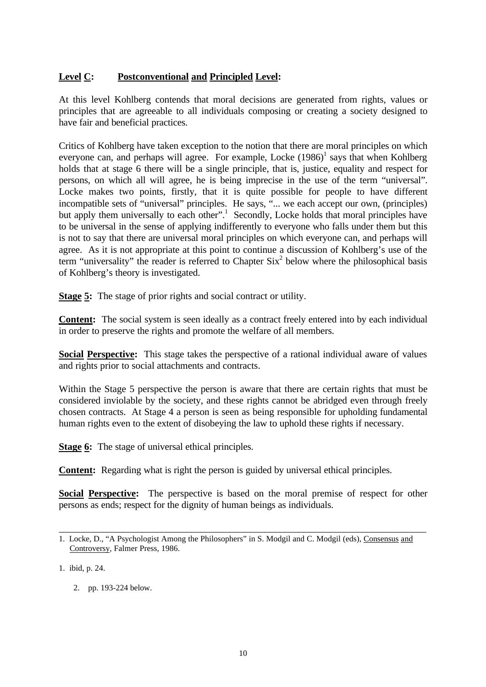## **Level C: Postconventional and Principled Level:**

At this level Kohlberg contends that moral decisions are generated from rights, values or principles that are agreeable to all individuals composing or creating a society designed to have fair and beneficial practices.

Critics of Kohlberg have taken exception to the notion that there are moral principles on which everyone can, and perhaps will agree. For example, Locke  $(1986)^{1}$  says that when Kohlberg holds that at stage 6 there will be a single principle, that is, justice, equality and respect for persons, on which all will agree, he is being imprecise in the use of the term "universal". Locke makes two points, firstly, that it is quite possible for people to have different incompatible sets of "universal" principles. He says, "... we each accept our own, (principles) but apply them universally to each other".<sup>1</sup> Secondly, Locke holds that moral principles have to be universal in the sense of applying indifferently to everyone who falls under them but this is not to say that there are universal moral principles on which everyone can, and perhaps will agree. As it is not appropriate at this point to continue a discussion of Kohlberg's use of the term "universality" the reader is referred to Chapter  $\text{Six}^2$  below where the philosophical basis of Kohlberg's theory is investigated.

**Stage 5:** The stage of prior rights and social contract or utility.

**Content:** The social system is seen ideally as a contract freely entered into by each individual in order to preserve the rights and promote the welfare of all members.

**Social Perspective:** This stage takes the perspective of a rational individual aware of values and rights prior to social attachments and contracts.

Within the Stage 5 perspective the person is aware that there are certain rights that must be considered inviolable by the society, and these rights cannot be abridged even through freely chosen contracts. At Stage 4 a person is seen as being responsible for upholding fundamental human rights even to the extent of disobeying the law to uphold these rights if necessary.

**Stage 6:** The stage of universal ethical principles.

**Content:** Regarding what is right the person is guided by universal ethical principles.

**Social Perspective:** The perspective is based on the moral premise of respect for other persons as ends; respect for the dignity of human beings as individuals.

\_\_\_\_\_\_\_\_\_\_\_\_\_\_\_\_\_\_\_\_\_\_\_\_\_\_\_\_\_\_\_\_\_\_\_\_\_\_\_\_\_\_\_\_\_\_\_\_\_\_\_\_\_\_\_\_\_\_\_\_\_\_\_\_\_\_\_\_\_\_\_\_\_\_\_

1. ibid, p. 24.

2. pp. 193-224 below.

<sup>1.</sup> Locke, D., "A Psychologist Among the Philosophers" in S. Modgil and C. Modgil (eds), Consensus and Controversy, Falmer Press, 1986.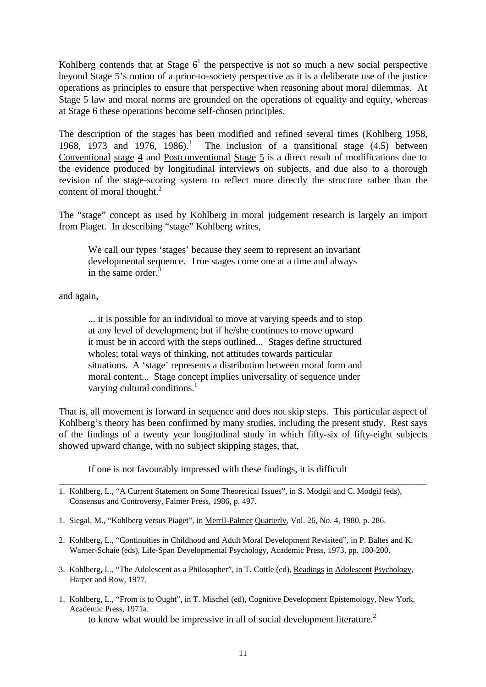Kohlberg contends that at Stage  $6<sup>1</sup>$  the perspective is not so much a new social perspective beyond Stage 5's notion of a prior-to-society perspective as it is a deliberate use of the justice operations as principles to ensure that perspective when reasoning about moral dilemmas. At Stage 5 law and moral norms are grounded on the operations of equality and equity, whereas at Stage 6 these operations become self-chosen principles.

The description of the stages has been modified and refined several times (Kohlberg 1958, 1968, 1973 and 1976, 1986).<sup>1</sup> The inclusion of a transitional stage  $(4.5)$  between Conventional stage 4 and Postconventional Stage 5 is a direct result of modifications due to the evidence produced by longitudinal interviews on subjects, and due also to a thorough revision of the stage-scoring system to reflect more directly the structure rather than the content of moral thought.<sup>2</sup>

The "stage" concept as used by Kohlberg in moral judgement research is largely an import from Piaget. In describing "stage" Kohlberg writes,

We call our types 'stages' because they seem to represent an invariant developmental sequence. True stages come one at a time and always in the same order. $3$ 

and again,

... it is possible for an individual to move at varying speeds and to stop at any level of development; but if he/she continues to move upward it must be in accord with the steps outlined... Stages define structured wholes; total ways of thinking, not attitudes towards particular situations. A 'stage' represents a distribution between moral form and moral content... Stage concept implies universality of sequence under varying cultural conditions. $<sup>1</sup>$ </sup>

That is, all movement is forward in sequence and does not skip steps. This particular aspect of Kohlberg's theory has been confirmed by many studies, including the present study. Rest says of the findings of a twenty year longitudinal study in which fifty-six of fifty-eight subjects showed upward change, with no subject skipping stages, that,

\_\_\_\_\_\_\_\_\_\_\_\_\_\_\_\_\_\_\_\_\_\_\_\_\_\_\_\_\_\_\_\_\_\_\_\_\_\_\_\_\_\_\_\_\_\_\_\_\_\_\_\_\_\_\_\_\_\_\_\_\_\_\_\_\_\_\_\_\_\_\_\_\_\_\_

If one is not favourably impressed with these findings, it is difficult

- 1. Siegal, M., "Kohlberg versus Piaget", in Merril-Palmer Quarterly, Vol. 26, No. 4, 1980, p. 286.
- 2. Kohlberg, L., "Continuities in Childhood and Adult Moral Development Revisited", in P. Baltes and K. Warner-Schaie (eds), Life-Span Developmental Psychology, Academic Press, 1973, pp. 180-200.
- 3. Kohlberg, L., "The Adolescent as a Philosopher", in T. Cottle (ed), Readings in Adolescent Psychology, Harper and Row, 1977.
- 1. Kohlberg, L., "From is to Ought", in T. Mischel (ed), Cognitive Development Epistemology, New York, Academic Press, 1971a.

to know what would be impressive in all of social development literature.<sup>2</sup>

<sup>1.</sup> Kohlberg, L., "A Current Statement on Some Theoretical Issues", in S. Modgil and C. Modgil (eds), Consensus and Controversy, Falmer Press, 1986, p. 497.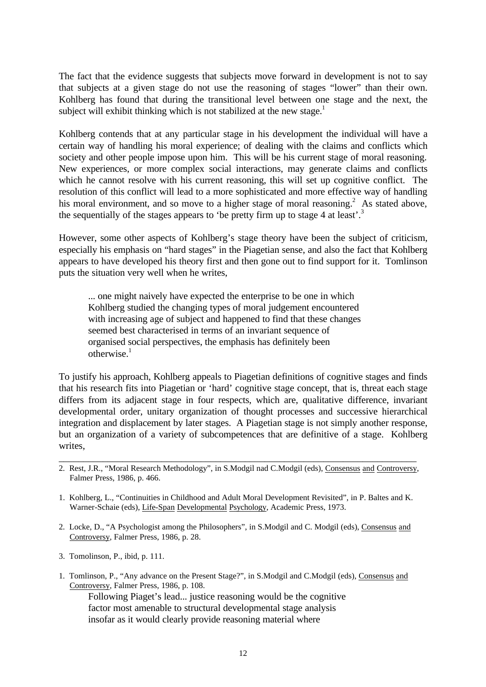The fact that the evidence suggests that subjects move forward in development is not to say that subjects at a given stage do not use the reasoning of stages "lower" than their own. Kohlberg has found that during the transitional level between one stage and the next, the subject will exhibit thinking which is not stabilized at the new stage. $1$ 

Kohlberg contends that at any particular stage in his development the individual will have a certain way of handling his moral experience; of dealing with the claims and conflicts which society and other people impose upon him. This will be his current stage of moral reasoning. New experiences, or more complex social interactions, may generate claims and conflicts which he cannot resolve with his current reasoning, this will set up cognitive conflict. The resolution of this conflict will lead to a more sophisticated and more effective way of handling his moral environment, and so move to a higher stage of moral reasoning.<sup>2</sup> As stated above, the sequentially of the stages appears to 'be pretty firm up to stage 4 at least'.<sup>3</sup>

However, some other aspects of Kohlberg's stage theory have been the subject of criticism, especially his emphasis on "hard stages" in the Piagetian sense, and also the fact that Kohlberg appears to have developed his theory first and then gone out to find support for it. Tomlinson puts the situation very well when he writes,

... one might naively have expected the enterprise to be one in which Kohlberg studied the changing types of moral judgement encountered with increasing age of subject and happened to find that these changes seemed best characterised in terms of an invariant sequence of organised social perspectives, the emphasis has definitely been  $otherwise<sup>1</sup>$ 

To justify his approach, Kohlberg appeals to Piagetian definitions of cognitive stages and finds that his research fits into Piagetian or 'hard' cognitive stage concept, that is, threat each stage differs from its adjacent stage in four respects, which are, qualitative difference, invariant developmental order, unitary organization of thought processes and successive hierarchical integration and displacement by later stages. A Piagetian stage is not simply another response, but an organization of a variety of subcompetences that are definitive of a stage. Kohlberg writes,

- \_\_\_\_\_\_\_\_\_\_\_\_\_\_\_\_\_\_\_\_\_\_\_\_\_\_\_\_\_\_\_\_\_\_\_\_\_\_\_\_\_\_\_\_\_\_\_\_\_\_\_\_\_\_\_\_\_\_\_\_\_\_\_\_\_\_\_\_\_\_\_\_\_ 2. Rest, J.R., "Moral Research Methodology", in S.Modgil nad C.Modgil (eds), Consensus and Controversy, Falmer Press, 1986, p. 466.
- 1. Kohlberg, L., "Continuities in Childhood and Adult Moral Development Revisited", in P. Baltes and K. Warner-Schaie (eds), Life-Span Developmental Psychology, Academic Press, 1973.
- 2. Locke, D., "A Psychologist among the Philosophers", in S.Modgil and C. Modgil (eds), Consensus and Controversy, Falmer Press, 1986, p. 28.
- 3. Tomolinson, P., ibid, p. 111.
- 1. Tomlinson, P., "Any advance on the Present Stage?", in S.Modgil and C.Modgil (eds), Consensus and Controversy, Falmer Press, 1986, p. 108.

Following Piaget's lead... justice reasoning would be the cognitive factor most amenable to structural developmental stage analysis insofar as it would clearly provide reasoning material where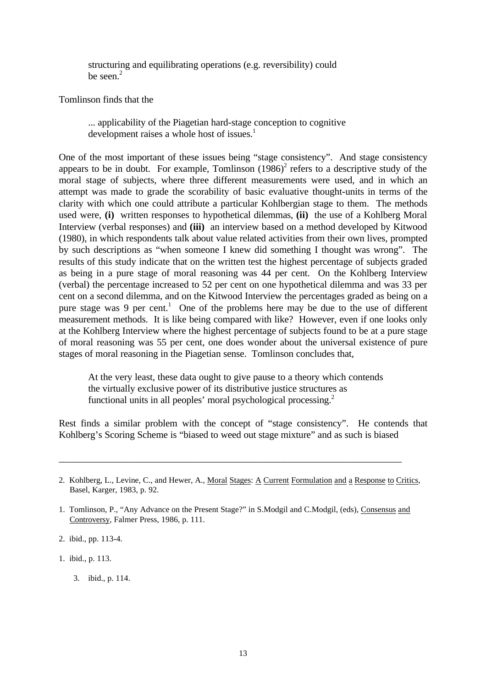structuring and equilibrating operations (e.g. reversibility) could be seen.<sup>2</sup>

Tomlinson finds that the

... applicability of the Piagetian hard-stage conception to cognitive development raises a whole host of issues.<sup>1</sup>

One of the most important of these issues being "stage consistency". And stage consistency appears to be in doubt. For example, Tomlinson  $(1986)^2$  refers to a descriptive study of the moral stage of subjects, where three different measurements were used, and in which an attempt was made to grade the scorability of basic evaluative thought-units in terms of the clarity with which one could attribute a particular Kohlbergian stage to them. The methods used were, **(i)** written responses to hypothetical dilemmas, **(ii)** the use of a Kohlberg Moral Interview (verbal responses) and **(iii)** an interview based on a method developed by Kitwood (1980), in which respondents talk about value related activities from their own lives, prompted by such descriptions as "when someone I knew did something I thought was wrong". The results of this study indicate that on the written test the highest percentage of subjects graded as being in a pure stage of moral reasoning was 44 per cent. On the Kohlberg Interview (verbal) the percentage increased to 52 per cent on one hypothetical dilemma and was 33 per cent on a second dilemma, and on the Kitwood Interview the percentages graded as being on a pure stage was 9 per cent.<sup>1</sup> One of the problems here may be due to the use of different measurement methods. It is like being compared with like? However, even if one looks only at the Kohlberg Interview where the highest percentage of subjects found to be at a pure stage of moral reasoning was 55 per cent, one does wonder about the universal existence of pure stages of moral reasoning in the Piagetian sense. Tomlinson concludes that,

At the very least, these data ought to give pause to a theory which contends the virtually exclusive power of its distributive justice structures as functional units in all peoples' moral psychological processing.<sup>2</sup>

Rest finds a similar problem with the concept of "stage consistency". He contends that Kohlberg's Scoring Scheme is "biased to weed out stage mixture" and as such is biased

\_\_\_\_\_\_\_\_\_\_\_\_\_\_\_\_\_\_\_\_\_\_\_\_\_\_\_\_\_\_\_\_\_\_\_\_\_\_\_\_\_\_\_\_\_\_\_\_\_\_\_\_\_\_\_\_\_\_\_\_\_\_\_\_\_\_\_\_\_\_

1. ibid., p. 113.

<sup>2.</sup> Kohlberg, L., Levine, C., and Hewer, A., Moral Stages: A Current Formulation and a Response to Critics, Basel, Karger, 1983, p. 92.

<sup>1.</sup> Tomlinson, P., "Any Advance on the Present Stage?" in S.Modgil and C.Modgil, (eds), Consensus and Controversy, Falmer Press, 1986, p. 111.

<sup>2.</sup> ibid., pp. 113-4.

<sup>3.</sup> ibid., p. 114.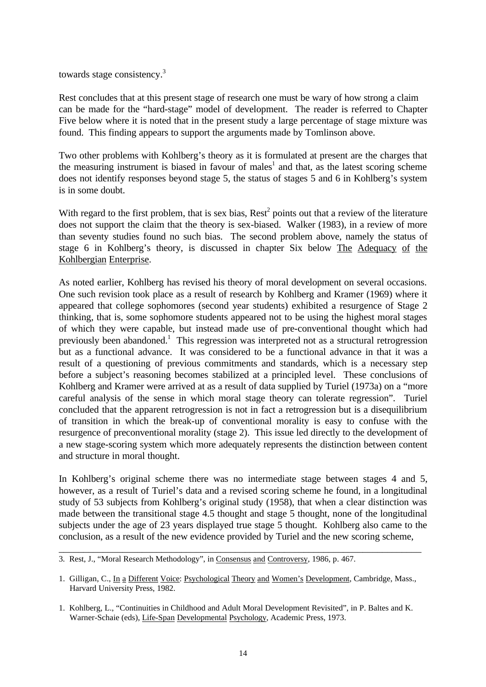towards stage consistency.<sup>3</sup>

Rest concludes that at this present stage of research one must be wary of how strong a claim can be made for the "hard-stage" model of development. The reader is referred to Chapter Five below where it is noted that in the present study a large percentage of stage mixture was found. This finding appears to support the arguments made by Tomlinson above.

Two other problems with Kohlberg's theory as it is formulated at present are the charges that the measuring instrument is biased in favour of males<sup>1</sup> and that, as the latest scoring scheme does not identify responses beyond stage 5, the status of stages 5 and 6 in Kohlberg's system is in some doubt.

With regard to the first problem, that is sex bias,  $\text{Rest}^2$  points out that a review of the literature does not support the claim that the theory is sex-biased. Walker (1983), in a review of more than seventy studies found no such bias. The second problem above, namely the status of stage 6 in Kohlberg's theory, is discussed in chapter Six below The Adequacy of the Kohlbergian Enterprise.

As noted earlier, Kohlberg has revised his theory of moral development on several occasions. One such revision took place as a result of research by Kohlberg and Kramer (1969) where it appeared that college sophomores (second year students) exhibited a resurgence of Stage 2 thinking, that is, some sophomore students appeared not to be using the highest moral stages of which they were capable, but instead made use of pre-conventional thought which had previously been abandoned.<sup>1</sup> This regression was interpreted not as a structural retrogression but as a functional advance. It was considered to be a functional advance in that it was a result of a questioning of previous commitments and standards, which is a necessary step before a subject's reasoning becomes stabilized at a principled level. These conclusions of Kohlberg and Kramer were arrived at as a result of data supplied by Turiel (1973a) on a "more careful analysis of the sense in which moral stage theory can tolerate regression". Turiel concluded that the apparent retrogression is not in fact a retrogression but is a disequilibrium of transition in which the break-up of conventional morality is easy to confuse with the resurgence of preconventional morality (stage 2). This issue led directly to the development of a new stage-scoring system which more adequately represents the distinction between content and structure in moral thought.

In Kohlberg's original scheme there was no intermediate stage between stages 4 and 5, however, as a result of Turiel's data and a revised scoring scheme he found, in a longitudinal study of 53 subjects from Kohlberg's original study (1958), that when a clear distinction was made between the transitional stage 4.5 thought and stage 5 thought, none of the longitudinal subjects under the age of 23 years displayed true stage 5 thought. Kohlberg also came to the conclusion, as a result of the new evidence provided by Turiel and the new scoring scheme,

\_\_\_\_\_\_\_\_\_\_\_\_\_\_\_\_\_\_\_\_\_\_\_\_\_\_\_\_\_\_\_\_\_\_\_\_\_\_\_\_\_\_\_\_\_\_\_\_\_\_\_\_\_\_\_\_\_\_\_\_\_\_\_\_\_\_\_\_\_\_\_\_\_\_

<sup>3.</sup> Rest, J., "Moral Research Methodology", in Consensus and Controversy, 1986, p. 467.

<sup>1.</sup> Gilligan, C., In a Different Voice: Psychological Theory and Women's Development, Cambridge, Mass., Harvard University Press, 1982.

<sup>1.</sup> Kohlberg, L., "Continuities in Childhood and Adult Moral Development Revisited", in P. Baltes and K. Warner-Schaie (eds), Life-Span Developmental Psychology, Academic Press, 1973.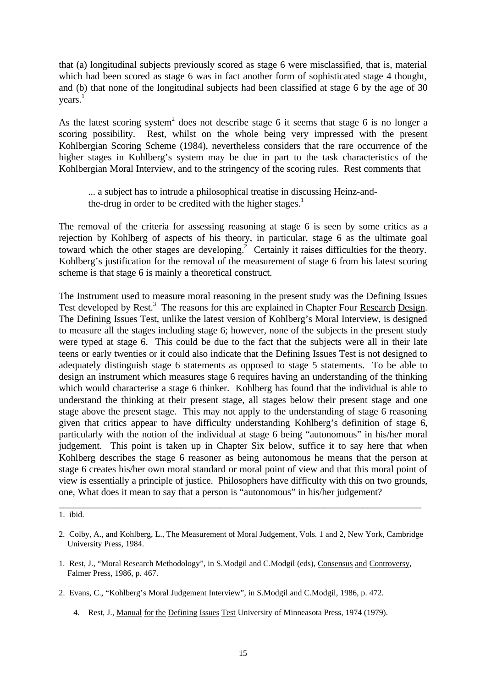that (a) longitudinal subjects previously scored as stage 6 were misclassified, that is, material which had been scored as stage 6 was in fact another form of sophisticated stage 4 thought, and (b) that none of the longitudinal subjects had been classified at stage 6 by the age of 30 years. 1

As the latest scoring system<sup>2</sup> does not describe stage 6 it seems that stage 6 is no longer a scoring possibility. Rest, whilst on the whole being very impressed with the present Kohlbergian Scoring Scheme (1984), nevertheless considers that the rare occurrence of the higher stages in Kohlberg's system may be due in part to the task characteristics of the Kohlbergian Moral Interview, and to the stringency of the scoring rules. Rest comments that

... a subject has to intrude a philosophical treatise in discussing Heinz-andthe-drug in order to be credited with the higher stages.<sup>1</sup>

The removal of the criteria for assessing reasoning at stage 6 is seen by some critics as a rejection by Kohlberg of aspects of his theory, in particular, stage 6 as the ultimate goal toward which the other stages are developing.<sup>2</sup> Certainly it raises difficulties for the theory. Kohlberg's justification for the removal of the measurement of stage 6 from his latest scoring scheme is that stage 6 is mainly a theoretical construct.

The Instrument used to measure moral reasoning in the present study was the Defining Issues Test developed by Rest.<sup>3</sup> The reasons for this are explained in Chapter Four Research Design. The Defining Issues Test, unlike the latest version of Kohlberg's Moral Interview, is designed to measure all the stages including stage 6; however, none of the subjects in the present study were typed at stage 6. This could be due to the fact that the subjects were all in their late teens or early twenties or it could also indicate that the Defining Issues Test is not designed to adequately distinguish stage 6 statements as opposed to stage 5 statements. To be able to design an instrument which measures stage 6 requires having an understanding of the thinking which would characterise a stage 6 thinker. Kohlberg has found that the individual is able to understand the thinking at their present stage, all stages below their present stage and one stage above the present stage. This may not apply to the understanding of stage 6 reasoning given that critics appear to have difficulty understanding Kohlberg's definition of stage 6, particularly with the notion of the individual at stage 6 being "autonomous" in his/her moral judgement. This point is taken up in Chapter Six below, suffice it to say here that when Kohlberg describes the stage 6 reasoner as being autonomous he means that the person at stage 6 creates his/her own moral standard or moral point of view and that this moral point of view is essentially a principle of justice. Philosophers have difficulty with this on two grounds, one, What does it mean to say that a person is "autonomous" in his/her judgement?

\_\_\_\_\_\_\_\_\_\_\_\_\_\_\_\_\_\_\_\_\_\_\_\_\_\_\_\_\_\_\_\_\_\_\_\_\_\_\_\_\_\_\_\_\_\_\_\_\_\_\_\_\_\_\_\_\_\_\_\_\_\_\_\_\_\_\_\_\_\_\_\_\_\_

- 2. Evans, C., "Kohlberg's Moral Judgement Interview", in S.Modgil and C.Modgil, 1986, p. 472.
	- 4. Rest, J., Manual for the Defining Issues Test University of Minneasota Press, 1974 (1979).

<sup>1.</sup> ibid.

<sup>2.</sup> Colby, A., and Kohlberg, L., The Measurement of Moral Judgement, Vols. 1 and 2, New York, Cambridge University Press, 1984.

<sup>1.</sup> Rest, J., "Moral Research Methodology", in S.Modgil and C.Modgil (eds), Consensus and Controversy, Falmer Press, 1986, p. 467.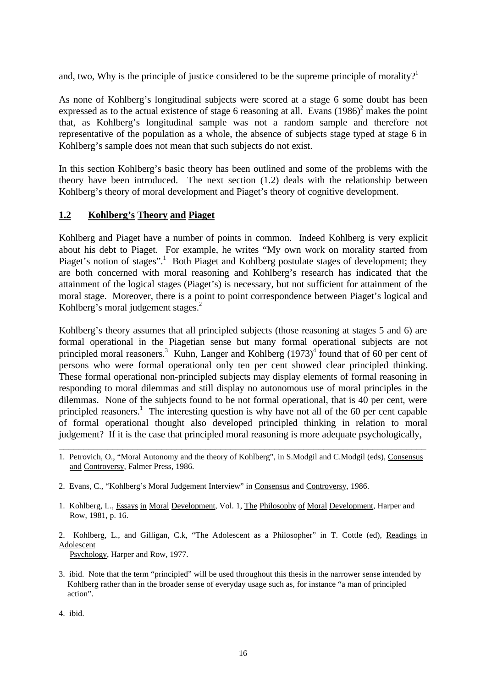and, two, Why is the principle of justice considered to be the supreme principle of morality?<sup>1</sup>

As none of Kohlberg's longitudinal subjects were scored at a stage 6 some doubt has been expressed as to the actual existence of stage 6 reasoning at all. Evans  $(1986)^2$  makes the point that, as Kohlberg's longitudinal sample was not a random sample and therefore not representative of the population as a whole, the absence of subjects stage typed at stage 6 in Kohlberg's sample does not mean that such subjects do not exist.

In this section Kohlberg's basic theory has been outlined and some of the problems with the theory have been introduced. The next section (1.2) deals with the relationship between Kohlberg's theory of moral development and Piaget's theory of cognitive development.

#### **1.2 Kohlberg's Theory and Piaget**

Kohlberg and Piaget have a number of points in common. Indeed Kohlberg is very explicit about his debt to Piaget. For example, he writes "My own work on morality started from Piaget's notion of stages".<sup>1</sup> Both Piaget and Kohlberg postulate stages of development; they are both concerned with moral reasoning and Kohlberg's research has indicated that the attainment of the logical stages (Piaget's) is necessary, but not sufficient for attainment of the moral stage. Moreover, there is a point to point correspondence between Piaget's logical and Kohlberg's moral judgement stages.<sup>2</sup>

Kohlberg's theory assumes that all principled subjects (those reasoning at stages 5 and 6) are formal operational in the Piagetian sense but many formal operational subjects are not principled moral reasoners.<sup>3</sup> Kuhn, Langer and Kohlberg  $(1973)^4$  found that of 60 per cent of persons who were formal operational only ten per cent showed clear principled thinking. These formal operational non-principled subjects may display elements of formal reasoning in responding to moral dilemmas and still display no autonomous use of moral principles in the dilemmas. None of the subjects found to be not formal operational, that is 40 per cent, were principled reasoners.<sup>1</sup> The interesting question is why have not all of the 60 per cent capable of formal operational thought also developed principled thinking in relation to moral judgement? If it is the case that principled moral reasoning is more adequate psychologically,

- 2. Evans, C., "Kohlberg's Moral Judgement Interview" in Consensus and Controversy, 1986.
- 1. Kohlberg, L., Essays in Moral Development, Vol. 1, The Philosophy of Moral Development, Harper and Row, 1981, p. 16.

2. Kohlberg, L., and Gilligan, C.k, "The Adolescent as a Philosopher" in T. Cottle (ed), Readings in Adolescent

Psychology, Harper and Row, 1977.

3. ibid. Note that the term "principled" will be used throughout this thesis in the narrower sense intended by Kohlberg rather than in the broader sense of everyday usage such as, for instance "a man of principled action".

4. ibid.

\_\_\_\_\_\_\_\_\_\_\_\_\_\_\_\_\_\_\_\_\_\_\_\_\_\_\_\_\_\_\_\_\_\_\_\_\_\_\_\_\_\_\_\_\_\_\_\_\_\_\_\_\_\_\_\_\_\_\_\_\_\_\_\_\_\_\_\_\_\_\_\_\_\_\_ 1. Petrovich, O., "Moral Autonomy and the theory of Kohlberg", in S.Modgil and C.Modgil (eds), Consensus and Controversy, Falmer Press, 1986.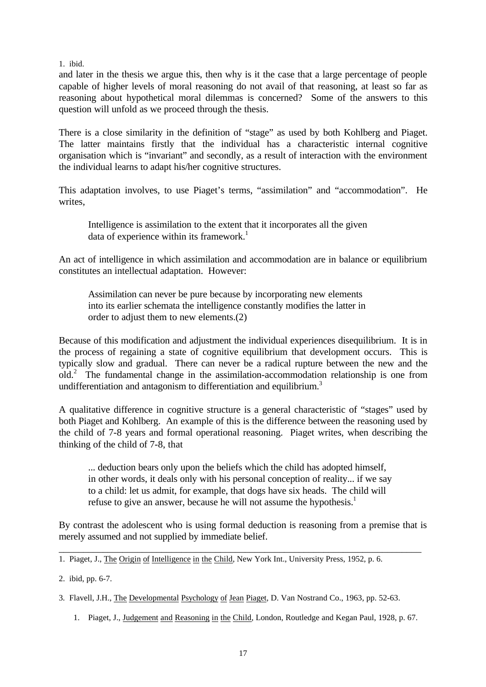1. ibid.

and later in the thesis we argue this, then why is it the case that a large percentage of people capable of higher levels of moral reasoning do not avail of that reasoning, at least so far as reasoning about hypothetical moral dilemmas is concerned? Some of the answers to this question will unfold as we proceed through the thesis.

There is a close similarity in the definition of "stage" as used by both Kohlberg and Piaget. The latter maintains firstly that the individual has a characteristic internal cognitive organisation which is "invariant" and secondly, as a result of interaction with the environment the individual learns to adapt his/her cognitive structures.

This adaptation involves, to use Piaget's terms, "assimilation" and "accommodation". He writes,

Intelligence is assimilation to the extent that it incorporates all the given data of experience within its framework.<sup>1</sup>

An act of intelligence in which assimilation and accommodation are in balance or equilibrium constitutes an intellectual adaptation. However:

Assimilation can never be pure because by incorporating new elements into its earlier schemata the intelligence constantly modifies the latter in order to adjust them to new elements.(2)

Because of this modification and adjustment the individual experiences disequilibrium. It is in the process of regaining a state of cognitive equilibrium that development occurs. This is typically slow and gradual. There can never be a radical rupture between the new and the old.<sup>2</sup> The fundamental change in the assimilation-accommodation relationship is one from undifferentiation and antagonism to differentiation and equilibrium.<sup>3</sup>

A qualitative difference in cognitive structure is a general characteristic of "stages" used by both Piaget and Kohlberg. An example of this is the difference between the reasoning used by the child of 7-8 years and formal operational reasoning. Piaget writes, when describing the thinking of the child of 7-8, that

... deduction bears only upon the beliefs which the child has adopted himself, in other words, it deals only with his personal conception of reality... if we say to a child: let us admit, for example, that dogs have six heads. The child will refuse to give an answer, because he will not assume the hypothesis.<sup>1</sup>

By contrast the adolescent who is using formal deduction is reasoning from a premise that is merely assumed and not supplied by immediate belief.

\_\_\_\_\_\_\_\_\_\_\_\_\_\_\_\_\_\_\_\_\_\_\_\_\_\_\_\_\_\_\_\_\_\_\_\_\_\_\_\_\_\_\_\_\_\_\_\_\_\_\_\_\_\_\_\_\_\_\_\_\_\_\_\_\_\_\_\_\_\_\_\_\_\_

1. Piaget, J., The Origin of Intelligence in the Child, New York Int., University Press, 1952, p. 6.

2. ibid, pp. 6-7.

3. Flavell, J.H., The Developmental Psychology of Jean Piaget, D. Van Nostrand Co., 1963, pp. 52-63.

1. Piaget, J., Judgement and Reasoning in the Child, London, Routledge and Kegan Paul, 1928, p. 67.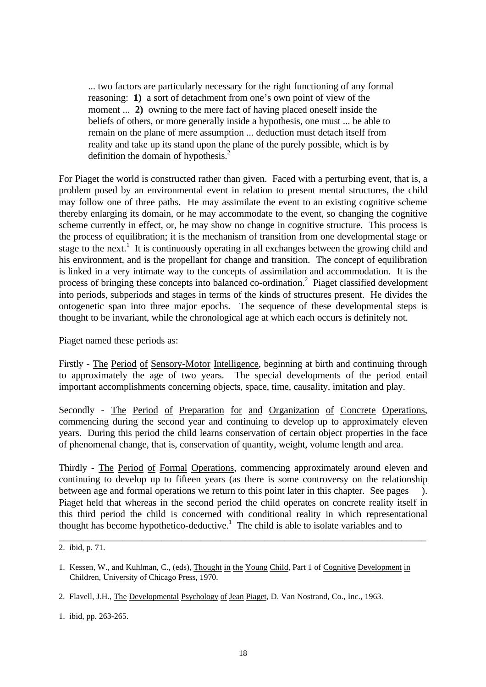... two factors are particularly necessary for the right functioning of any formal reasoning: **1)** a sort of detachment from one's own point of view of the moment ... **2**) owning to the mere fact of having placed oneself inside the beliefs of others, or more generally inside a hypothesis, one must ... be able to remain on the plane of mere assumption ... deduction must detach itself from reality and take up its stand upon the plane of the purely possible, which is by definition the domain of hypothesis.<sup>2</sup>

For Piaget the world is constructed rather than given. Faced with a perturbing event, that is, a problem posed by an environmental event in relation to present mental structures, the child may follow one of three paths. He may assimilate the event to an existing cognitive scheme thereby enlarging its domain, or he may accommodate to the event, so changing the cognitive scheme currently in effect, or, he may show no change in cognitive structure. This process is the process of equilibration; it is the mechanism of transition from one developmental stage or stage to the next.<sup>1</sup> It is continuously operating in all exchanges between the growing child and his environment, and is the propellant for change and transition. The concept of equilibration is linked in a very intimate way to the concepts of assimilation and accommodation. It is the process of bringing these concepts into balanced co-ordination.<sup>2</sup> Piaget classified development into periods, subperiods and stages in terms of the kinds of structures present. He divides the ontogenetic span into three major epochs. The sequence of these developmental steps is thought to be invariant, while the chronological age at which each occurs is definitely not.

Piaget named these periods as:

Firstly - The Period of Sensory-Motor Intelligence, beginning at birth and continuing through to approximately the age of two years. The special developments of the period entail important accomplishments concerning objects, space, time, causality, imitation and play.

Secondly - The Period of Preparation for and Organization of Concrete Operations, commencing during the second year and continuing to develop up to approximately eleven years. During this period the child learns conservation of certain object properties in the face of phenomenal change, that is, conservation of quantity, weight, volume length and area.

Thirdly - The Period of Formal Operations, commencing approximately around eleven and continuing to develop up to fifteen years (as there is some controversy on the relationship between age and formal operations we return to this point later in this chapter. See pages ). Piaget held that whereas in the second period the child operates on concrete reality itself in this third period the child is concerned with conditional reality in which representational thought has become hypothetico-deductive.<sup>1</sup> The child is able to isolate variables and to

\_\_\_\_\_\_\_\_\_\_\_\_\_\_\_\_\_\_\_\_\_\_\_\_\_\_\_\_\_\_\_\_\_\_\_\_\_\_\_\_\_\_\_\_\_\_\_\_\_\_\_\_\_\_\_\_\_\_\_\_\_\_\_\_\_\_\_\_\_\_\_\_\_\_\_

1. ibid, pp. 263-265.

<sup>2.</sup> ibid, p. 71.

<sup>1.</sup> Kessen, W., and Kuhlman, C., (eds), Thought in the Young Child, Part 1 of Cognitive Development in Children, University of Chicago Press, 1970.

<sup>2.</sup> Flavell, J.H., The Developmental Psychology of Jean Piaget, D. Van Nostrand, Co., Inc., 1963.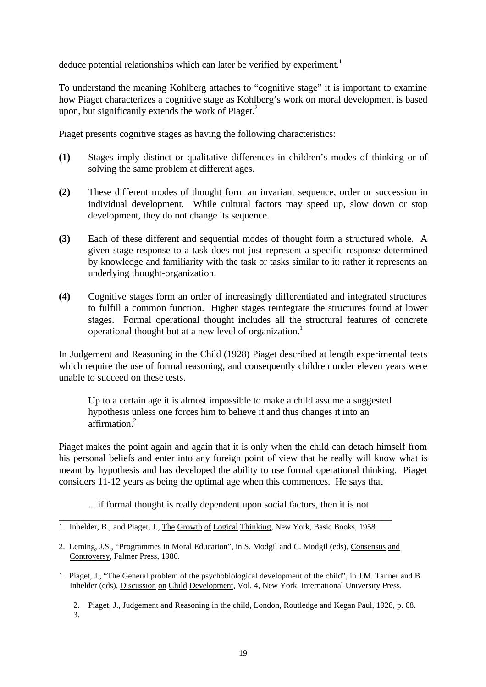deduce potential relationships which can later be verified by experiment.<sup>1</sup>

To understand the meaning Kohlberg attaches to "cognitive stage" it is important to examine how Piaget characterizes a cognitive stage as Kohlberg's work on moral development is based upon, but significantly extends the work of Piaget. $2$ 

Piaget presents cognitive stages as having the following characteristics:

- **(1)** Stages imply distinct or qualitative differences in children's modes of thinking or of solving the same problem at different ages.
- **(2)** These different modes of thought form an invariant sequence, order or succession in individual development. While cultural factors may speed up, slow down or stop development, they do not change its sequence.
- **(3)** Each of these different and sequential modes of thought form a structured whole. A given stage-response to a task does not just represent a specific response determined by knowledge and familiarity with the task or tasks similar to it: rather it represents an underlying thought-organization.
- **(4)** Cognitive stages form an order of increasingly differentiated and integrated structures to fulfill a common function. Higher stages reintegrate the structures found at lower stages. Formal operational thought includes all the structural features of concrete operational thought but at a new level of organization.<sup>1</sup>

In Judgement and Reasoning in the Child (1928) Piaget described at length experimental tests which require the use of formal reasoning, and consequently children under eleven years were unable to succeed on these tests.

Up to a certain age it is almost impossible to make a child assume a suggested hypothesis unless one forces him to believe it and thus changes it into an affirmation.<sup>2</sup>

Piaget makes the point again and again that it is only when the child can detach himself from his personal beliefs and enter into any foreign point of view that he really will know what is meant by hypothesis and has developed the ability to use formal operational thinking. Piaget considers 11-12 years as being the optimal age when this commences. He says that

... if formal thought is really dependent upon social factors, then it is not \_\_\_\_\_\_\_\_\_\_\_\_\_\_\_\_\_\_\_\_\_\_\_\_\_\_\_\_\_\_\_\_\_\_\_\_\_\_\_\_\_\_\_\_\_\_\_\_\_\_\_\_\_\_\_\_\_\_\_\_\_\_\_\_\_\_\_\_

1. Piaget, J., "The General problem of the psychobiological development of the child", in J.M. Tanner and B. Inhelder (eds), Discussion on Child Development, Vol. 4, New York, International University Press.

2. Piaget, J., Judgement and Reasoning in the child, London, Routledge and Kegan Paul, 1928, p. 68. 3.

<sup>1.</sup> Inhelder, B., and Piaget, J., The Growth of Logical Thinking, New York, Basic Books, 1958.

<sup>2.</sup> Leming, J.S., "Programmes in Moral Education", in S. Modgil and C. Modgil (eds), Consensus and Controversy, Falmer Press, 1986.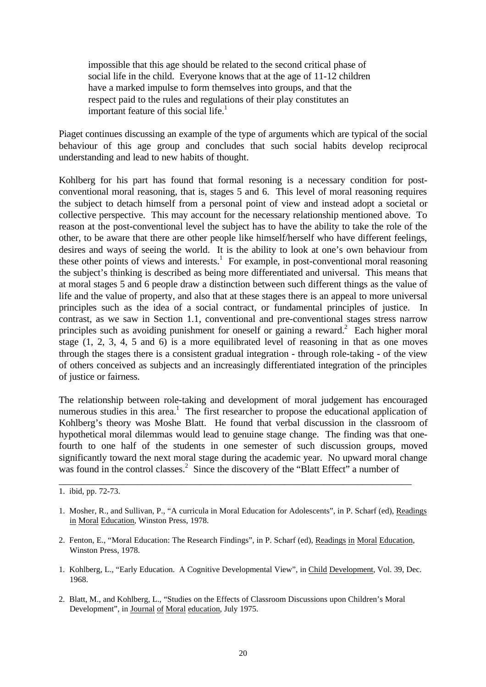impossible that this age should be related to the second critical phase of social life in the child. Everyone knows that at the age of 11-12 children have a marked impulse to form themselves into groups, and that the respect paid to the rules and regulations of their play constitutes an important feature of this social life.<sup>1</sup>

Piaget continues discussing an example of the type of arguments which are typical of the social behaviour of this age group and concludes that such social habits develop reciprocal understanding and lead to new habits of thought.

Kohlberg for his part has found that formal resoning is a necessary condition for postconventional moral reasoning, that is, stages 5 and 6. This level of moral reasoning requires the subject to detach himself from a personal point of view and instead adopt a societal or collective perspective. This may account for the necessary relationship mentioned above. To reason at the post-conventional level the subject has to have the ability to take the role of the other, to be aware that there are other people like himself/herself who have different feelings, desires and ways of seeing the world. It is the ability to look at one's own behaviour from these other points of views and interests.<sup>1</sup> For example, in post-conventional moral reasoning the subject's thinking is described as being more differentiated and universal. This means that at moral stages 5 and 6 people draw a distinction between such different things as the value of life and the value of property, and also that at these stages there is an appeal to more universal principles such as the idea of a social contract, or fundamental principles of justice. In contrast, as we saw in Section 1.1, conventional and pre-conventional stages stress narrow principles such as avoiding punishment for oneself or gaining a reward.<sup>2</sup> Each higher moral stage (1, 2, 3, 4, 5 and 6) is a more equilibrated level of reasoning in that as one moves through the stages there is a consistent gradual integration - through role-taking - of the view of others conceived as subjects and an increasingly differentiated integration of the principles of justice or fairness.

The relationship between role-taking and development of moral judgement has encouraged numerous studies in this area.<sup>1</sup> The first researcher to propose the educational application of Kohlberg's theory was Moshe Blatt. He found that verbal discussion in the classroom of hypothetical moral dilemmas would lead to genuine stage change. The finding was that onefourth to one half of the students in one semester of such discussion groups, moved significantly toward the next moral stage during the academic year. No upward moral change was found in the control classes.<sup>2</sup> Since the discovery of the "Blatt Effect" a number of

2. Fenton, E., "Moral Education: The Research Findings", in P. Scharf (ed), Readings in Moral Education, Winston Press, 1978.

\_\_\_\_\_\_\_\_\_\_\_\_\_\_\_\_\_\_\_\_\_\_\_\_\_\_\_\_\_\_\_\_\_\_\_\_\_\_\_\_\_\_\_\_\_\_\_\_\_\_\_\_\_\_\_\_\_\_\_\_\_\_\_\_\_\_\_\_\_\_\_\_

- 1. Kohlberg, L., "Early Education. A Cognitive Developmental View", in Child Development, Vol. 39, Dec. 1968.
- 2. Blatt, M., and Kohlberg, L., "Studies on the Effects of Classroom Discussions upon Children's Moral Development", in Journal of Moral education, July 1975.

<sup>1.</sup> ibid, pp. 72-73.

<sup>1.</sup> Mosher, R., and Sullivan, P., "A curricula in Moral Education for Adolescents", in P. Scharf (ed), Readings in Moral Education, Winston Press, 1978.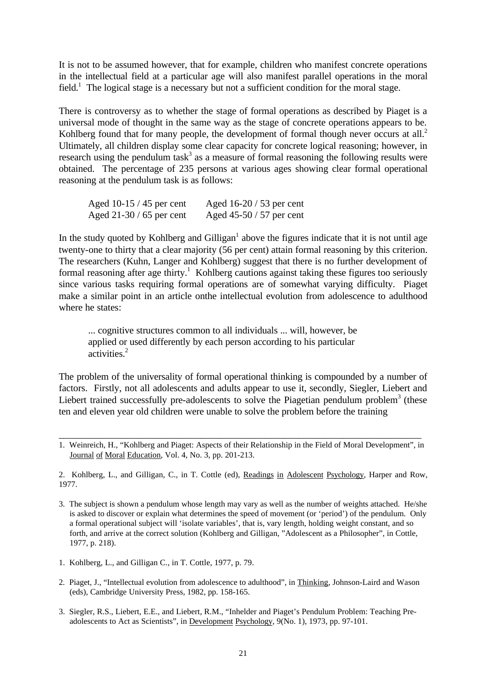It is not to be assumed however, that for example, children who manifest concrete operations in the intellectual field at a particular age will also manifest parallel operations in the moral field.<sup>1</sup> The logical stage is a necessary but not a sufficient condition for the moral stage.

There is controversy as to whether the stage of formal operations as described by Piaget is a universal mode of thought in the same way as the stage of concrete operations appears to be. Kohlberg found that for many people, the development of formal though never occurs at all. $2$ Ultimately, all children display some clear capacity for concrete logical reasoning; however, in research using the pendulum task<sup>3</sup> as a measure of formal reasoning the following results were obtained. The percentage of 235 persons at various ages showing clear formal operational reasoning at the pendulum task is as follows:

| Aged 10-15 / 45 per cent | Aged $16-20/53$ per cent |
|--------------------------|--------------------------|
| Aged $21-30/65$ per cent | Aged $45-50/57$ per cent |

In the study quoted by Kohlberg and Gilligan<sup>1</sup> above the figures indicate that it is not until age twenty-one to thirty that a clear majority (56 per cent) attain formal reasoning by this criterion. The researchers (Kuhn, Langer and Kohlberg) suggest that there is no further development of formal reasoning after age thirty.<sup>1</sup> Kohlberg cautions against taking these figures too seriously since various tasks requiring formal operations are of somewhat varying difficulty. Piaget make a similar point in an article onthe intellectual evolution from adolescence to adulthood where he states:

... cognitive structures common to all individuals ... will, however, be applied or used differently by each person according to his particular activities.<sup>2</sup>

The problem of the universality of formal operational thinking is compounded by a number of factors. Firstly, not all adolescents and adults appear to use it, secondly, Siegler, Liebert and Liebert trained successfully pre-adolescents to solve the Piagetian pendulum problem<sup>3</sup> (these ten and eleven year old children were unable to solve the problem before the training

2. Kohlberg, L., and Gilligan, C., in T. Cottle (ed), Readings in Adolescent Psychology, Harper and Row, 1977.

3. The subject is shown a pendulum whose length may vary as well as the number of weights attached. He/she is asked to discover or explain what determines the speed of movement (or 'period') of the pendulum. Only a formal operational subject will 'isolate variables', that is, vary length, holding weight constant, and so forth, and arrive at the correct solution (Kohlberg and Gilligan, "Adolescent as a Philosopher", in Cottle, 1977, p. 218).

- 1. Kohlberg, L., and Gilligan C., in T. Cottle, 1977, p. 79.
- 2. Piaget, J., "Intellectual evolution from adolescence to adulthood", in Thinking, Johnson-Laird and Wason (eds), Cambridge University Press, 1982, pp. 158-165.
- 3. Siegler, R.S., Liebert, E.E., and Liebert, R.M., "Inhelder and Piaget's Pendulum Problem: Teaching Pre adolescents to Act as Scientists", in Development Psychology, 9(No. 1), 1973, pp. 97-101.

\_\_\_\_\_\_\_\_\_\_\_\_\_\_\_\_\_\_\_\_\_\_\_\_\_\_\_\_\_\_\_\_\_\_\_\_\_\_\_\_\_\_\_\_\_\_\_\_\_\_\_\_\_\_\_\_\_\_\_\_\_\_\_\_\_\_\_\_\_\_\_\_\_\_ 1. Weinreich, H., "Kohlberg and Piaget: Aspects of their Relationship in the Field of Moral Development", in Journal of Moral Education, Vol. 4, No. 3, pp. 201-213.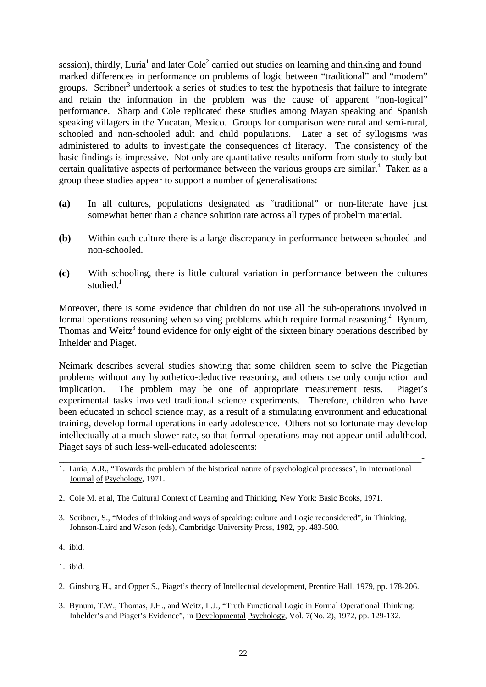session), thirdly, Luria<sup>1</sup> and later Cole<sup>2</sup> carried out studies on learning and thinking and found marked differences in performance on problems of logic between "traditional" and "modern" groups. Scribner<sup>3</sup> undertook a series of studies to test the hypothesis that failure to integrate and retain the information in the problem was the cause of apparent "non-logical" performance. Sharp and Cole replicated these studies among Mayan speaking and Spanish speaking villagers in the Yucatan, Mexico. Groups for comparison were rural and semi-rural, schooled and non-schooled adult and child populations. Later a set of syllogisms was administered to adults to investigate the consequences of literacy. The consistency of the basic findings is impressive. Not only are quantitative results uniform from study to study but certain qualitative aspects of performance between the various groups are similar.<sup>4</sup> Taken as a group these studies appear to support a number of generalisations:

- **(a)** In all cultures, populations designated as "traditional" or non-literate have just somewhat better than a chance solution rate across all types of probelm material.
- **(b)** Within each culture there is a large discrepancy in performance between schooled and non-schooled.
- **(c)** With schooling, there is little cultural variation in performance between the cultures studied $<sup>1</sup>$ </sup>

Moreover, there is some evidence that children do not use all the sub-operations involved in formal operations reasoning when solving problems which require formal reasoning.<sup>2</sup> Bynum, Thomas and Weitz<sup>3</sup> found evidence for only eight of the sixteen binary operations described by Inhelder and Piaget.

Neimark describes several studies showing that some children seem to solve the Piagetian problems without any hypothetico-deductive reasoning, and others use only conjunction and implication. The problem may be one of appropriate measurement tests. Piaget's experimental tasks involved traditional science experiments. Therefore, children who have been educated in school science may, as a result of a stimulating environment and educational training, develop formal operations in early adolescence. Others not so fortunate may develop intellectually at a much slower rate, so that formal operations may not appear until adulthood. Piaget says of such less-well-educated adolescents:

\_\_\_\_\_\_\_\_\_\_\_\_\_\_\_\_\_\_\_\_\_\_\_\_\_\_\_\_\_\_\_\_\_\_\_\_\_\_\_\_\_\_\_\_\_\_\_\_\_\_\_\_\_\_\_\_\_\_\_\_\_\_\_\_\_\_\_\_\_\_\_\_\_\_-

- 4. ibid.
- 1. ibid.
- 2. Ginsburg H., and Opper S., Piaget's theory of Intellectual development, Prentice Hall, 1979, pp. 178-206.
- 3. Bynum, T.W., Thomas, J.H., and Weitz, L.J., "Truth Functional Logic in Formal Operational Thinking: Inhelder's and Piaget's Evidence", in Developmental Psychology, Vol. 7(No. 2), 1972, pp. 129-132.

<sup>1.</sup> Luria, A.R., "Towards the problem of the historical nature of psychological processes", in International Journal of Psychology, 1971.

<sup>2.</sup> Cole M. et al, The Cultural Context of Learning and Thinking, New York: Basic Books, 1971.

<sup>3.</sup> Scribner, S., "Modes of thinking and ways of speaking: culture and Logic reconsidered", in Thinking, Johnson-Laird and Wason (eds), Cambridge University Press, 1982, pp. 483-500.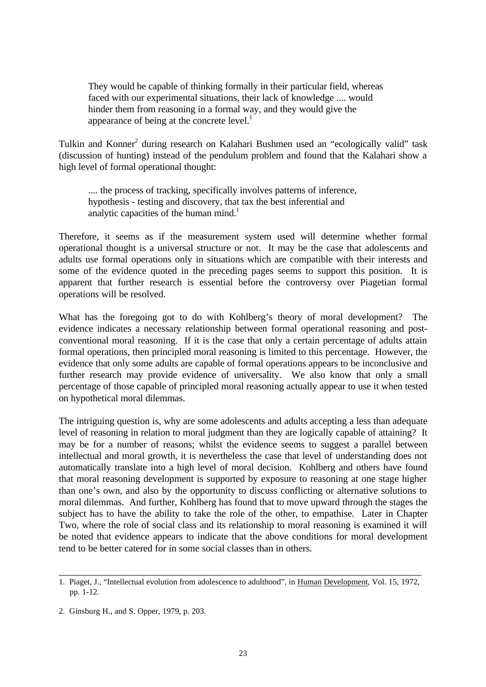They would be capable of thinking formally in their particular field, whereas faced with our experimental situations, their lack of knowledge .... would hinder them from reasoning in a formal way, and they would give the appearance of being at the concrete level. $<sup>1</sup>$ </sup>

Tulkin and Konner<sup>2</sup> during research on Kalahari Bushmen used an "ecologically valid" task (discussion of hunting) instead of the pendulum problem and found that the Kalahari show a high level of formal operational thought:

.... the process of tracking, specifically involves patterns of inference, hypothesis - testing and discovery, that tax the best inferential and analytic capacities of the human mind.<sup>1</sup>

Therefore, it seems as if the measurement system used will determine whether formal operational thought is a universal structure or not. It may be the case that adolescents and adults use formal operations only in situations which are compatible with their interests and some of the evidence quoted in the preceding pages seems to support this position. It is apparent that further research is essential before the controversy over Piagetian formal operations will be resolved.

What has the foregoing got to do with Kohlberg's theory of moral development? The evidence indicates a necessary relationship between formal operational reasoning and postconventional moral reasoning. If it is the case that only a certain percentage of adults attain formal operations, then principled moral reasoning is limited to this percentage. However, the evidence that only some adults are capable of formal operations appears to be inconclusive and further research may provide evidence of universality. We also know that only a small percentage of those capable of principled moral reasoning actually appear to use it when tested on hypothetical moral dilemmas.

The intriguing question is, why are some adolescents and adults accepting a less than adequate level of reasoning in relation to moral judgment than they are logically capable of attaining? It may be for a number of reasons; whilst the evidence seems to suggest a parallel between intellectual and moral growth, it is nevertheless the case that level of understanding does not automatically translate into a high level of moral decision. Kohlberg and others have found that moral reasoning development is supported by exposure to reasoning at one stage higher than one's own, and also by the opportunity to discuss conflicting or alternative solutions to moral dilemmas. And further, Kohlberg has found that to move upward through the stages the subject has to have the ability to take the role of the other, to empathise. Later in Chapter Two, where the role of social class and its relationship to moral reasoning is examined it will be noted that evidence appears to indicate that the above conditions for moral development tend to be better catered for in some social classes than in others.

\_\_\_\_\_\_\_\_\_\_\_\_\_\_\_\_\_\_\_\_\_\_\_\_\_\_\_\_\_\_\_\_\_\_\_\_\_\_\_\_\_\_\_\_\_\_\_\_\_\_\_\_\_\_\_\_\_\_\_\_\_\_\_\_\_\_\_\_\_\_\_\_\_\_ 1. Piaget, J., "Intellectual evolution from adolescence to adulthood", in Human Development, Vol. 15, 1972, pp. 1-12.

<sup>2.</sup> Ginsburg H., and S. Opper, 1979, p. 203.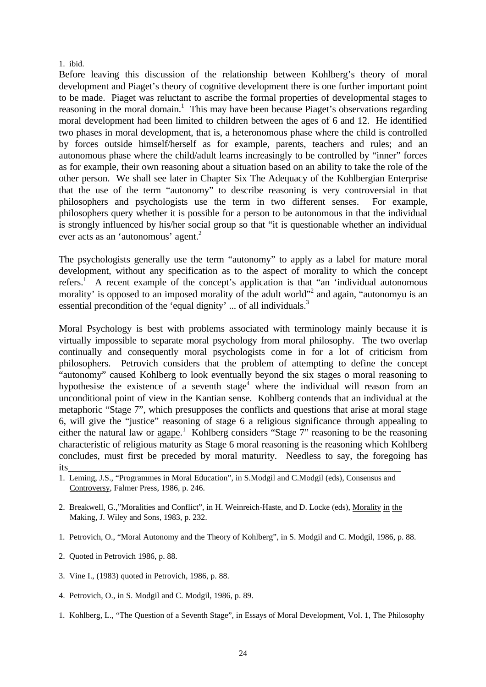#### 1. ibid.

Before leaving this discussion of the relationship between Kohlberg's theory of moral development and Piaget's theory of cognitive development there is one further important point to be made. Piaget was reluctant to ascribe the formal properties of developmental stages to reasoning in the moral domain.<sup>1</sup> This may have been because Piaget's observations regarding moral development had been limited to children between the ages of 6 and 12. He identified two phases in moral development, that is, a heteronomous phase where the child is controlled by forces outside himself/herself as for example, parents, teachers and rules; and an autonomous phase where the child/adult learns increasingly to be controlled by "inner" forces as for example, their own reasoning about a situation based on an ability to take the role of the other person. We shall see later in Chapter Six The Adequacy of the Kohlbergian Enterprise that the use of the term "autonomy" to describe reasoning is very controversial in that philosophers and psychologists use the term in two different senses. For example, philosophers query whether it is possible for a person to be autonomous in that the individual is strongly influenced by his/her social group so that "it is questionable whether an individual ever acts as an 'autonomous' agent. $2$ 

The psychologists generally use the term "autonomy" to apply as a label for mature moral development, without any specification as to the aspect of morality to which the concept refers.<sup>1</sup> A recent example of the concept's application is that "an 'individual autonomous morality' is opposed to an imposed morality of the adult world"<sup>2</sup> and again, "autonomyu is an essential precondition of the 'equal dignity' ... of all individuals.<sup>3</sup>

Moral Psychology is best with problems associated with terminology mainly because it is virtually impossible to separate moral psychology from moral philosophy. The two overlap continually and consequently moral psychologists come in for a lot of criticism from philosophers. Petrovich considers that the problem of attempting to define the concept "autonomy" caused Kohlberg to look eventually beyond the six stages o moral reasoning to hypothesise the existence of a seventh stage<sup>4</sup> where the individual will reason from an unconditional point of view in the Kantian sense. Kohlberg contends that an individual at the metaphoric "Stage 7", which presupposes the conflicts and questions that arise at moral stage 6, will give the "justice" reasoning of stage 6 a religious significance through appealing to either the natural law or agape.<sup>1</sup> Kohlberg considers "Stage 7" reasoning to be the reasoning characteristic of religious maturity as Stage 6 moral reasoning is the reasoning which Kohlberg concludes, must first be preceded by moral maturity. Needless to say, the foregoing has its\_\_\_\_\_\_\_\_\_\_\_\_\_\_\_\_\_\_\_\_\_\_\_\_\_\_\_\_\_\_\_\_\_\_\_\_\_\_\_\_\_\_\_\_\_\_\_\_\_\_\_\_\_\_\_\_\_\_\_\_\_\_\_\_\_\_\_\_

- 2. Breakwell, G.,"Moralities and Conflict", in H. Weinreich-Haste, and D. Locke (eds), Morality in the Making, J. Wiley and Sons, 1983, p. 232.
- 1. Petrovich, O., "Moral Autonomy and the Theory of Kohlberg", in S. Modgil and C. Modgil, 1986, p. 88.
- 2. Quoted in Petrovich 1986, p. 88.
- 3. Vine I., (1983) quoted in Petrovich, 1986, p. 88.
- 4. Petrovich, O., in S. Modgil and C. Modgil, 1986, p. 89.
- 1. Kohlberg, L., "The Question of a Seventh Stage", in Essays of Moral Development, Vol. 1, The Philosophy

<sup>1.</sup> Leming, J.S., "Programmes in Moral Education", in S.Modgil and C.Modgil (eds), Consensus and Controversy, Falmer Press, 1986, p. 246.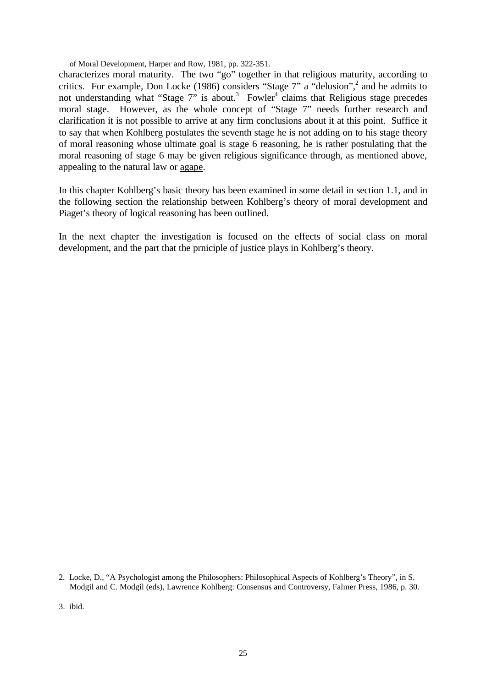of Moral Development, Harper and Row, 1981, pp. 322-351.

characterizes moral maturity. The two "go" together in that religious maturity, according to critics. For example, Don Locke (1986) considers "Stage 7" a "delusion",<sup>2</sup> and he admits to not understanding what "Stage 7" is about.<sup>3</sup> Fowler<sup>4</sup> claims that Religious stage precedes moral stage. However, as the whole concept of "Stage 7" needs further research and clarification it is not possible to arrive at any firm conclusions about it at this point. Suffice it to say that when Kohlberg postulates the seventh stage he is not adding on to his stage theory of moral reasoning whose ultimate goal is stage 6 reasoning, he is rather postulating that the moral reasoning of stage 6 may be given religious significance through, as mentioned above, appealing to the natural law or agape.

In this chapter Kohlberg's basic theory has been examined in some detail in section 1.1, and in the following section the relationship between Kohlberg's theory of moral development and Piaget's theory of logical reasoning has been outlined.

In the next chapter the investigation is focused on the effects of social class on moral development, and the part that the prniciple of justice plays in Kohlberg's theory.

3. ibid.

<sup>2.</sup> Locke, D., "A Psychologist among the Philosophers: Philosophical Aspects of Kohlberg's Theory", in S. Modgil and C. Modgil (eds), Lawrence Kohlberg: Consensus and Controversy, Falmer Press, 1986, p. 30.